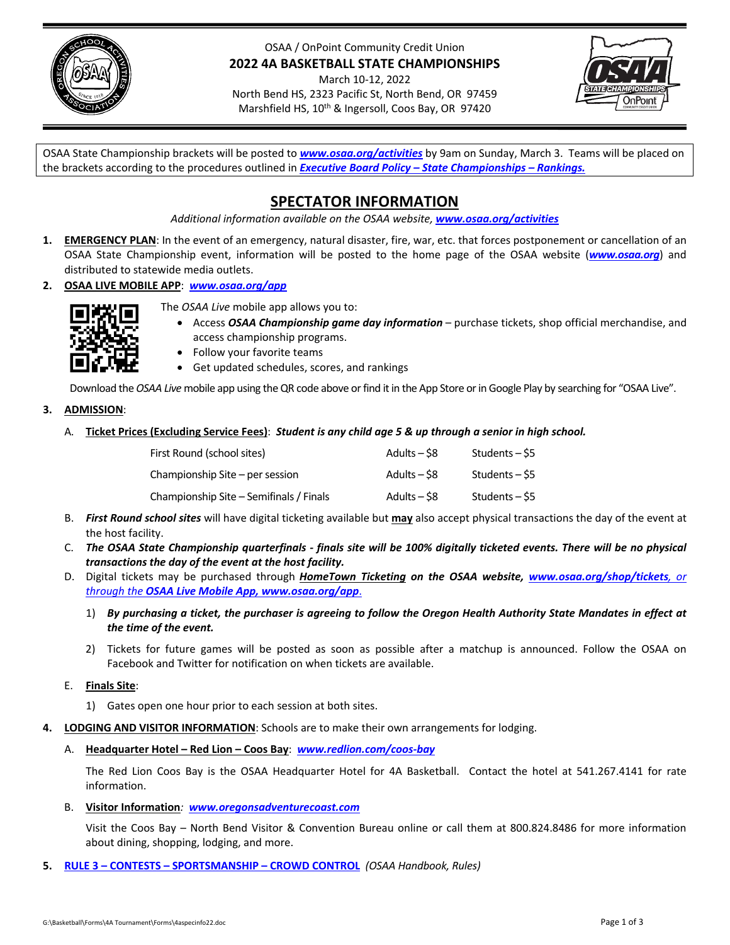

#### OSAA / OnPoint Community Credit Union **2022 4A BASKETBALL STATE CHAMPIONSHIPS**

March 10‐12, 2022 North Bend HS, 2323 Pacific St, North Bend, OR 97459 Marshfield HS, 10<sup>th</sup> & Ingersoll, Coos Bay, OR 97420



OSAA State Championship brackets will be posted to *[www.osaa.org/activities](https://www.osaa.org/activities)* by 9am on Sunday, March 3. Teams will be placed on the brackets according to the procedures outlined in *Executive Board Policy – State [Championships](https://www.osaa.org/governance/handbooks/osaa#_Toc456100456) – Rankings.*

## **SPECTATOR INFORMATION**

*Additional information available on the OSAA website, [www.osaa.org/activities](https://www.osaa.org/activities)*

- **1. EMERGENCY PLAN**: In the event of an emergency, natural disaster, fire, war, etc. that forces postponement or cancellation of an OSAA State Championship event, information will be posted to the home page of the OSAA website (*[www.osaa.org](https://www.osaa.org)*) and distributed to statewide media outlets.
- **2. OSAA LIVE MOBILE APP**: *[www.osaa.org/app](https://www.osaa.org/app)*



- The *OSAA Live* mobile app allows you to:
	- Access *OSAA Championship game day information* purchase tickets, shop official merchandise, and access championship programs.
	- Follow your favorite teams
	- Get updated schedules, scores, and rankings

Download the OSAA Live mobile app using the QR code above or find it in the App Store or in Google Play by searching for "OSAA Live".

#### **3. ADMISSION**:

A. Ticket Prices (Excluding Service Fees): Student is any child age 5 & up through a senior in high school.

| First Round (school sites)              | Adults – \$8   | Students – S5 |
|-----------------------------------------|----------------|---------------|
| Championship Site – per session         | Adults $-$ \$8 | Students – S5 |
| Championship Site – Semifinals / Finals | Adults $-$ \$8 | Students – S5 |

- B. *First Round school sites* will have digital ticketing available but **may** also accept physical transactions the day of the event at the host facility.
- C. The OSAA State Championship quarterfinals finals site will be 100% digitally ticketed events. There will be no physical *transactions the day of the event at the host facility.*
- D. Digital tickets may be purchased through *HomeTown Ticketing on the OSAA website, [www.osaa.org/shop/tickets](https://www.osaa.org/shop/tickets), or through the OSAA Live Mobile App, [www.osaa.org/app](https://www.osaa.org/app)*.
	- 1) By purchasing a ticket, the purchaser is agreeing to follow the Oregon Health Authority State Mandates in effect at *the time of the event.*
	- 2) Tickets for future games will be posted as soon as possible after a matchup is announced. Follow the OSAA on Facebook and Twitter for notification on when tickets are available.

#### E. **Finals Site**:

- 1) Gates open one hour prior to each session at both sites.
- **4. LODGING AND VISITOR INFORMATION**: Schools are to make their own arrangements for lodging.
	- A. **Headquarter Hotel – Red Lion – Coos Bay**: *[www.redlion.com/coos](https://www.redlion.com/coos-bay)‐bay*

The Red Lion Coos Bay is the OSAA Headquarter Hotel for 4A Basketball. Contact the hotel at 541.267.4141 for rate information.

B. **Visitor Information***: [www.oregonsadventurecoast.com](https://www.oregonsadventurecoast.com)*

Visit the Coos Bay – North Bend Visitor & Convention Bureau online or call them at 800.824.8486 for more information about dining, shopping, lodging, and more.

**5. RULE 3 – CONTESTS – [SPORTSMANSHIP](https://www.osaa.org/governance/handbooks/osaa#_Toc456100266) – CROWD CONTROL** *(OSAA Handbook, Rules)*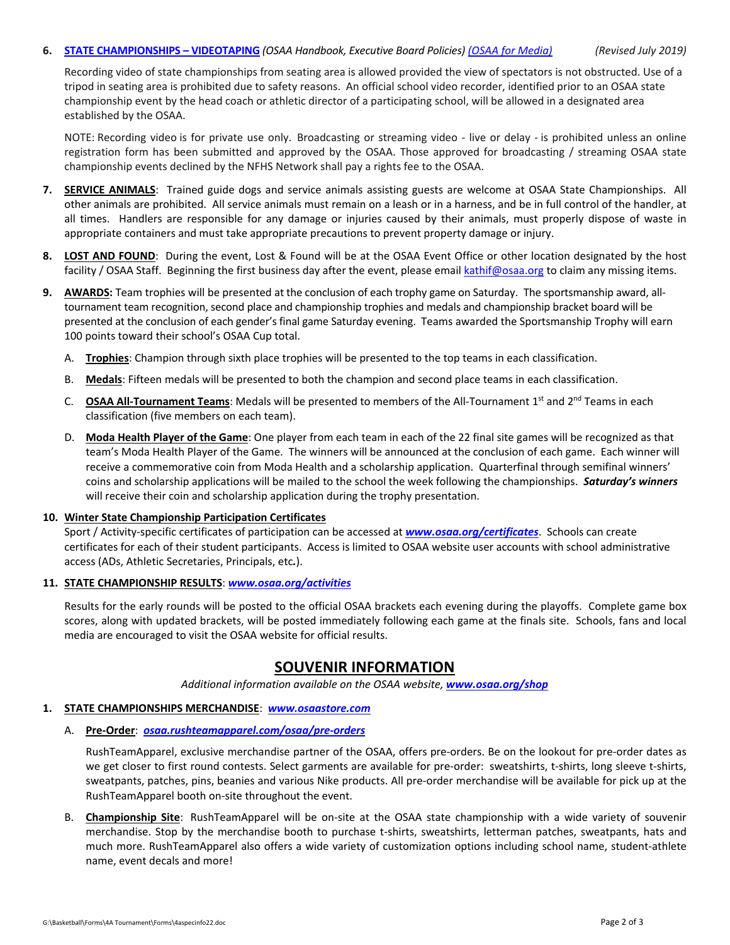#### 6. **STATE [CHAMPIONSHIPS](https://www.osaa.org/governance/handbooks/osaa#_Toc456100461) - VIDEOTAPING** (OSAA Handbook, Executive Board Policies) (OSAA for [Media\)](https://www.osaa.org/media) (Revised July 2019)

Recording video of state championships from seating area is allowed provided the view of spectators is not obstructed. Use of a tripod in seating area is prohibited due to safety reasons. An official school video recorder, identified prior to an OSAA state championship event by the head coach or athletic director of a participating school, will be allowed in a designated area established by the OSAA.

NOTE: Recording video is for private use only. Broadcasting or streaming video - live or delay - is prohibited unless an online registration form has been submitted and approved by the OSAA. Those approved for broadcasting / streaming OSAA state championship events declined by the NFHS Network shall pay a rights fee to the OSAA.

- **7. SERVICE ANIMALS**: Trained guide dogs and service animals assisting guests are welcome at OSAA State Championships. All other animals are prohibited. All service animals must remain on a leash or in a harness, and be in full control of the handler, at all times. Handlers are responsible for any damage or injuries caused by their animals, must properly dispose of waste in appropriate containers and must take appropriate precautions to prevent property damage or injury.
- **8. LOST AND FOUND**: During the event, Lost & Found will be at the OSAA Event Office or other location designated by the host facility / OSAA Staff. Beginning the first business day after the event, please email kathif@osaa.org to claim any missing items.
- **9. AWARDS:** Team trophies will be presented at the conclusion of each trophy game on Saturday. The sportsmanship award, all‐ tournament team recognition, second place and championship trophies and medals and championship bracket board will be presented at the conclusion of each gender's final game Saturday evening. Teams awarded the Sportsmanship Trophy will earn 100 points toward their school's OSAA Cup total.
	- A. **Trophies**: Champion through sixth place trophies will be presented to the top teams in each classification.
	- B. **Medals**: Fifteen medals will be presented to both the champion and second place teams in each classification.
	- C. **OSAA All‐Tournament Teams**: Medals will be presented to members of the All‐Tournament 1st and 2nd Teams in each classification (five members on each team).
	- D. **Moda Health Player of the Game**: One player from each team in each of the 22 final site games will be recognized as that team's Moda Health Player of the Game. The winners will be announced at the conclusion of each game. Each winner will receive a commemorative coin from Moda Health and a scholarship application. Quarterfinal through semifinal winners' coins and scholarship applications will be mailed to the school the week following the championships. *Saturday's winners* will receive their coin and scholarship application during the trophy presentation.

#### **10. Winter State Championship Participation Certificates**

Sport / Activity‐specific certificates of participation can be accessed at *www.osaa.org/certificates*. Schools can create certificates for each of their student participants. Access is limited to OSAA website user accounts with school administrative access (ADs, Athletic Secretaries, Principals, etc*.*).

#### **11. STATE CHAMPIONSHIP RESULTS**: *[www.osaa.org/activities](https://www.osaa.org/activities)*

Results for the early rounds will be posted to the official OSAA brackets each evening during the playoffs. Complete game box scores, along with updated brackets, will be posted immediately following each game at the finals site. Schools, fans and local media are encouraged to visit the OSAA website for official results.

### **SOUVENIR INFORMATION**

*Additional information available on the OSAA website, [www.osaa.org/shop](https://www.osaa.org/shop)*

#### **1. STATE CHAMPIONSHIPS MERCHANDISE**: *[www.osaastore.com](https://www.osaastore.com)*

#### A. **Pre‐Order**:*[osaa.rushteamapparel.com/osaa/pre](https://osaa.rushteamapparel.com/osaa/pre-orders/)‐orders*

RushTeamApparel, exclusive merchandise partner of the OSAA, offers pre‐orders. Be on the lookout for pre‐order dates as we get closer to first round contests. Select garments are available for pre-order: sweatshirts, t-shirts, long sleeve t-shirts, sweatpants, patches, pins, beanies and various Nike products. All pre‐order merchandise will be available for pick up at the RushTeamApparel booth on‐site throughout the event.

B. **Championship Site**: RushTeamApparel will be on‐site at the OSAA state championship with a wide variety of souvenir merchandise. Stop by the merchandise booth to purchase t-shirts, sweatshirts, letterman patches, sweatpants, hats and much more. RushTeamApparel also offers a wide variety of customization options including school name, student‐athlete name, event decals and more!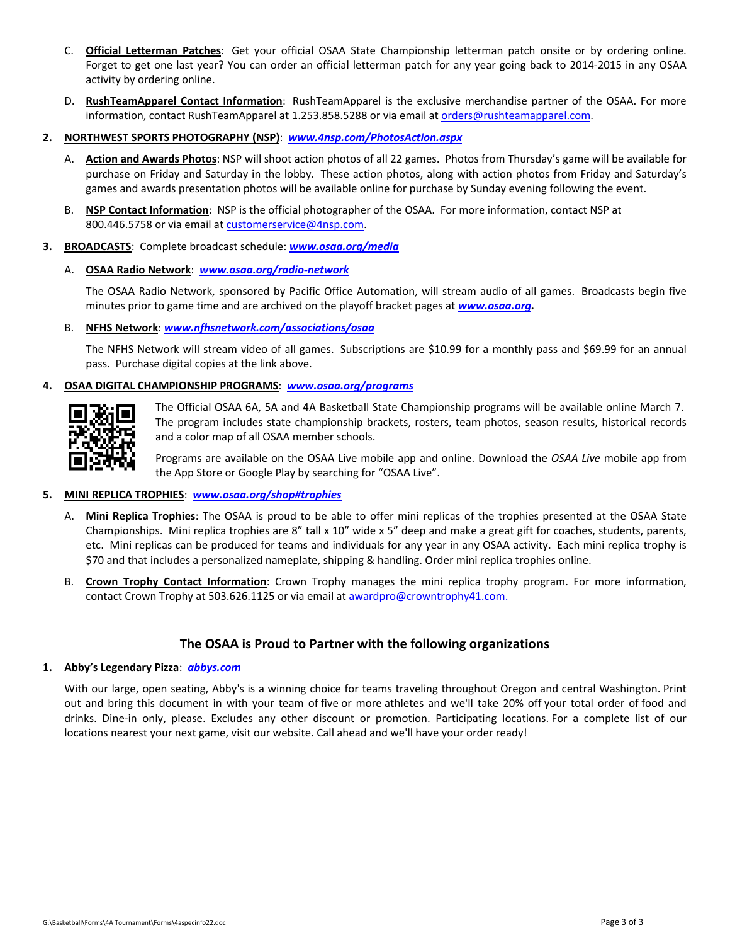- C. **Official Letterman Patches**: Get your official OSAA State Championship letterman patch onsite or by ordering online. Forget to get one last year? You can order an official letterman patch for any year going back to 2014‐2015 in any OSAA activity by ordering online.
- D. **RushTeamApparel Contact Information**: RushTeamApparel is the exclusive merchandise partner of the OSAA. For more information, contact RushTeamApparel at 1.253.858.5288 or via email at orders@rushteamapparel.com.
- **2. NORTHWEST SPORTS PHOTOGRAPHY (NSP)**: *[www.4nsp.com/PhotosAction.aspx](https://www.4nsp.com/PhotosAction.aspx)*
	- A. **Action and Awards Photos**: NSP will shoot action photos of all 22 games. Photos from Thursday's game will be available for purchase on Friday and Saturday in the lobby. These action photos, along with action photos from Friday and Saturday's games and awards presentation photos will be available online for purchase by Sunday evening following the event.
	- B. **NSP Contact Information**: NSP is the official photographer of the OSAA. For more information, contact NSP at 800.446.5758 or via email at customerservice@4nsp.com.
- **3. BROADCASTS**: Complete broadcast schedule: *[www.osaa.org/media](https://www.osaa.org/media)*
	- A. **OSAA Radio Network**: *[www.osaa.org/radio](https://www.osaa.org/radio-network)‐network*

The OSAA Radio Network, sponsored by Pacific Office Automation, will stream audio of all games. Broadcasts begin five minutes prior to game time and are archived on the playoff bracket pages at *www.osaa.org.*

#### B. **NFHS Network**: *[www.nfhsnetwork.com/associations/osaa](https://www.nfhsnetwork.com/associations/osaa)*

The NFHS Network will stream video of all games. Subscriptions are \$10.99 for a monthly pass and \$69.99 for an annual pass. Purchase digital copies at the link above.

#### **4. OSAA DIGITAL CHAMPIONSHIP PROGRAMS**: *[www.osaa.org/programs](https://www.osaa.org/programs)*

The Official OSAA 6A, 5A and 4A Basketball State Championship programs will be available online March 7. The program includes state championship brackets, rosters, team photos, season results, historical records and a color map of all OSAA member schools.

Programs are available on the OSAA Live mobile app and online. Download the *OSAA Live* mobile app from the App Store or Google Play by searching for "OSAA Live".

#### **5. MINI REPLICA TROPHIES**: *[www.osaa.org/shop#trophies](https://www.osaa.org/shop#trophies)*

- A. **Mini Replica Trophies**: The OSAA is proud to be able to offer mini replicas of the trophies presented at the OSAA State Championships. Mini replica trophies are 8" tall x 10" wide x 5" deep and make a great gift for coaches, students, parents, etc. Mini replicas can be produced for teams and individuals for any year in any OSAA activity. Each mini replica trophy is \$70 and that includes a personalized nameplate, shipping & handling. Order mini replica trophies online.
- B. **Crown Trophy Contact Information**: Crown Trophy manages the mini replica trophy program. For more information, contact Crown Trophy at 503.626.1125 or via email at **awardpro@crowntrophy41.com**.

#### **The OSAA is Proud to Partner with the following organizations**

#### **1. Abby's Legendary Pizza**: *[abbys.com](https://abbys.com/)*

With our large, open seating, Abby's is a winning choice for teams traveling throughout Oregon and central Washington. Print out and bring this document in with your team of five or more athletes and we'll take 20% off your total order of food and drinks. Dine‐in only, please. Excludes any other discount or promotion. Participating locations. For a complete list of our locations nearest your next game, visit our website. Call ahead and we'll have your order ready!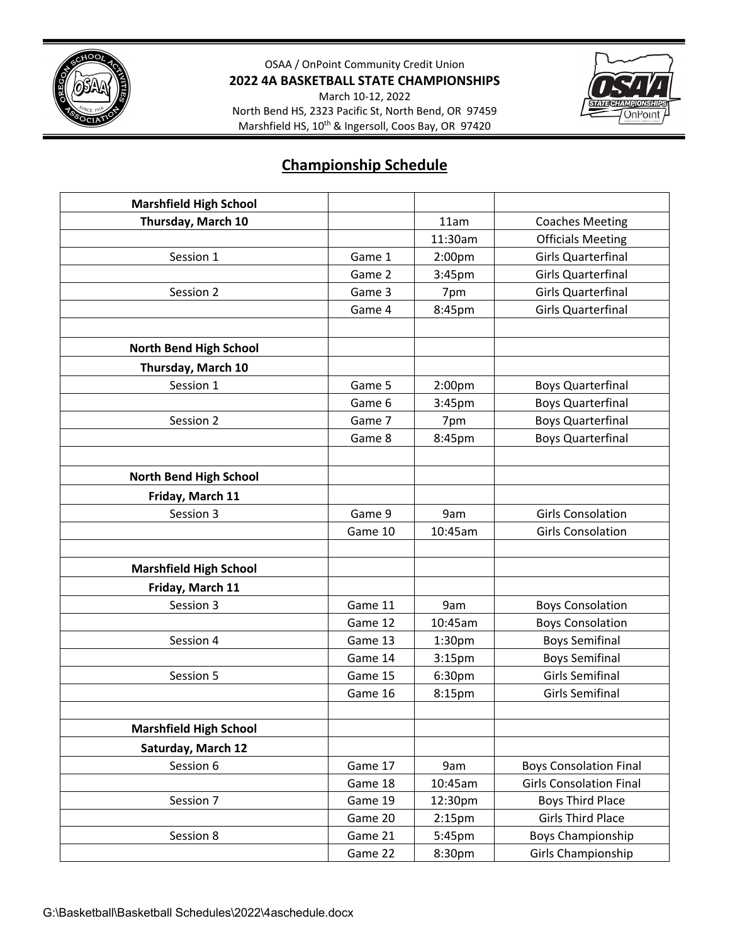

OSAA / OnPoint Community Credit Union **2022 4A BASKETBALL STATE CHAMPIONSHIPS**

March 10‐12, 2022 North Bend HS, 2323 Pacific St, North Bend, OR 97459 Marshfield HS, 10<sup>th</sup> & Ingersoll, Coos Bay, OR 97420



## **Championship Schedule**

| <b>Marshfield High School</b> |         |                    |                                |
|-------------------------------|---------|--------------------|--------------------------------|
| Thursday, March 10            |         | 11am               | <b>Coaches Meeting</b>         |
|                               |         | 11:30am            | <b>Officials Meeting</b>       |
| Session 1                     | Game 1  | 2:00pm             | <b>Girls Quarterfinal</b>      |
|                               | Game 2  | 3:45pm             | <b>Girls Quarterfinal</b>      |
| Session 2                     | Game 3  | 7pm                | <b>Girls Quarterfinal</b>      |
|                               | Game 4  | 8:45pm             | <b>Girls Quarterfinal</b>      |
|                               |         |                    |                                |
| North Bend High School        |         |                    |                                |
| Thursday, March 10            |         |                    |                                |
| Session 1                     | Game 5  | 2:00 <sub>pm</sub> | <b>Boys Quarterfinal</b>       |
|                               | Game 6  | 3:45pm             | <b>Boys Quarterfinal</b>       |
| Session 2                     | Game 7  | 7pm                | <b>Boys Quarterfinal</b>       |
|                               | Game 8  | 8:45pm             | <b>Boys Quarterfinal</b>       |
|                               |         |                    |                                |
| North Bend High School        |         |                    |                                |
| Friday, March 11              |         |                    |                                |
| Session 3                     | Game 9  | 9am                | <b>Girls Consolation</b>       |
|                               | Game 10 | 10:45am            | <b>Girls Consolation</b>       |
|                               |         |                    |                                |
| <b>Marshfield High School</b> |         |                    |                                |
| Friday, March 11              |         |                    |                                |
| Session 3                     | Game 11 | 9am                | <b>Boys Consolation</b>        |
|                               | Game 12 | 10:45am            | <b>Boys Consolation</b>        |
| Session 4                     | Game 13 | 1:30 <sub>pm</sub> | <b>Boys Semifinal</b>          |
|                               | Game 14 | 3:15 <sub>pm</sub> | <b>Boys Semifinal</b>          |
| Session 5                     | Game 15 | 6:30pm             | <b>Girls Semifinal</b>         |
|                               | Game 16 | 8:15pm             | <b>Girls Semifinal</b>         |
|                               |         |                    |                                |
| <b>Marshfield High School</b> |         |                    |                                |
| Saturday, March 12            |         |                    |                                |
| Session 6                     | Game 17 | 9am                | <b>Boys Consolation Final</b>  |
|                               | Game 18 | 10:45am            | <b>Girls Consolation Final</b> |
| Session 7                     | Game 19 | 12:30pm            | <b>Boys Third Place</b>        |
|                               | Game 20 | 2:15 <sub>pm</sub> | <b>Girls Third Place</b>       |
| Session 8                     | Game 21 | 5:45pm             | Boys Championship              |
|                               | Game 22 | 8:30pm             | Girls Championship             |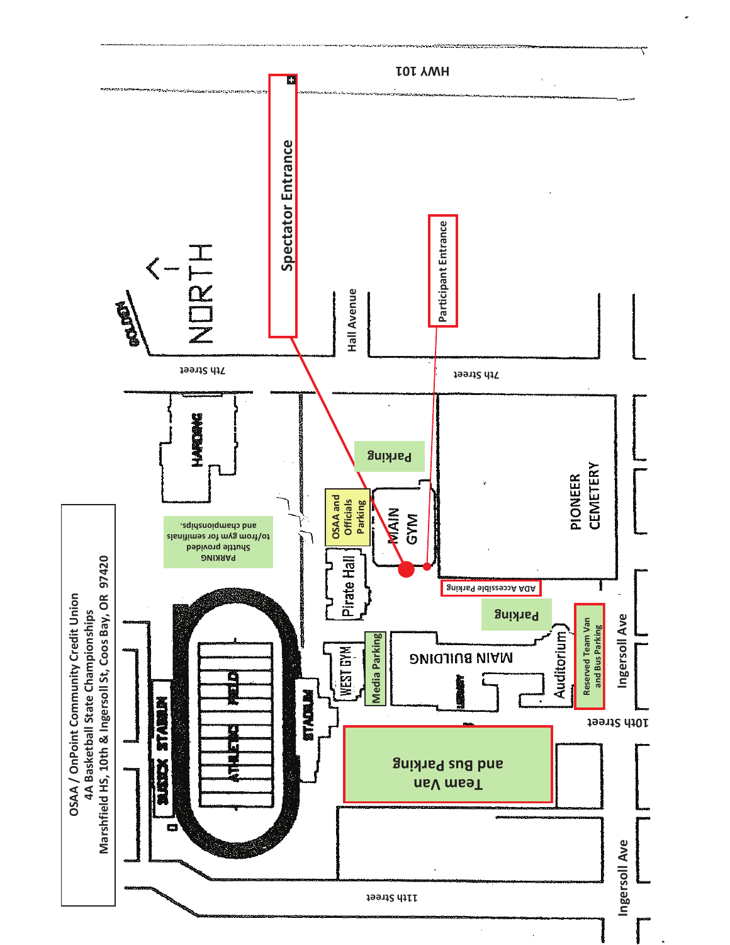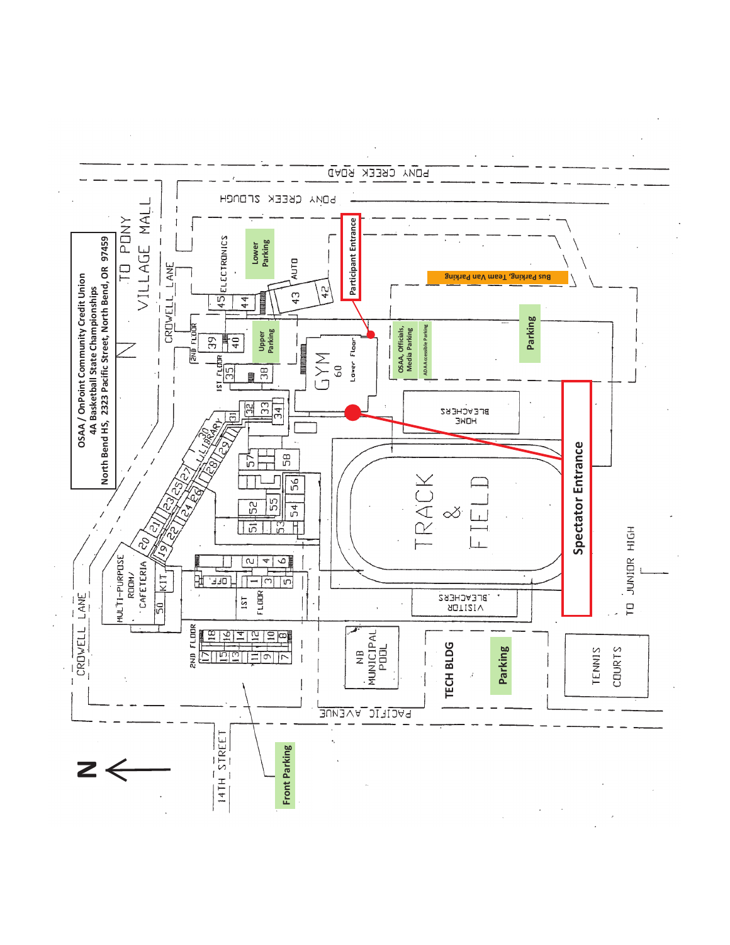